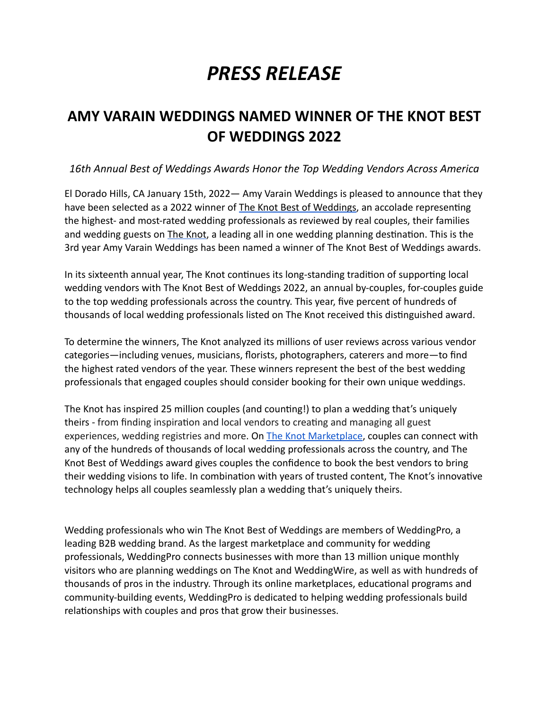# *PRESS RELEASE*

# **AMY VARAIN WEDDINGS NAMED WINNER OF THE KNOT BEST OF WEDDINGS 2022**

# *16th Annual Best of Weddings Awards Honor the Top Wedding Vendors Across America*

El Dorado Hills, CA January 15th, 2022— Amy Varain Weddings is pleased to announce that they have been selected as a 2022 winner of [The Knot Best of Weddings,](https://www.theknot.com/vendors/best-of-weddings) an accolade representing the highest- and most-rated wedding professionals as reviewed by real couples, their families and wedding guests on [The Knot](http://www.theknot.com), a leading all in one wedding planning destination. This is the 3rd year Amy Varain Weddings has been named a winner of The Knot Best of Weddings awards.

In its sixteenth annual year, The Knot continues its long-standing tradition of supporting local wedding vendors with The Knot Best of Weddings 2022, an annual by-couples, for-couples guide to the top wedding professionals across the country. This year, five percent of hundreds of thousands of local wedding professionals listed on The Knot received this distinguished award.

To determine the winners, The Knot analyzed its millions of user reviews across various vendor categories—including venues, musicians, florists, photographers, caterers and more—to find the highest rated vendors of the year. These winners represent the best of the best wedding professionals that engaged couples should consider booking for their own unique weddings.

The Knot has inspired 25 million couples (and counting!) to plan a wedding that's uniquely theirs - from finding inspiration and local vendors to creating and managing all guest experiences, wedding registries and more. On [The Knot Marketplace,](https://www.theknot.com/marketplace) couples can connect with any of the hundreds of thousands of local wedding professionals across the country, and The Knot Best of Weddings award gives couples the confidence to book the best vendors to bring their wedding visions to life. In combination with years of trusted content, The Knot's innovative technology helps all couples seamlessly plan a wedding that's uniquely theirs.

Wedding professionals who win The Knot Best of Weddings are members of WeddingPro, a leading B2B wedding brand. As the largest marketplace and community for wedding professionals, WeddingPro connects businesses with more than 13 million unique monthly visitors who are planning weddings on The Knot and WeddingWire, as well as with hundreds of thousands of pros in the industry. Through its online marketplaces, educational programs and community-building events, WeddingPro is dedicated to helping wedding professionals build relationships with couples and pros that grow their businesses.